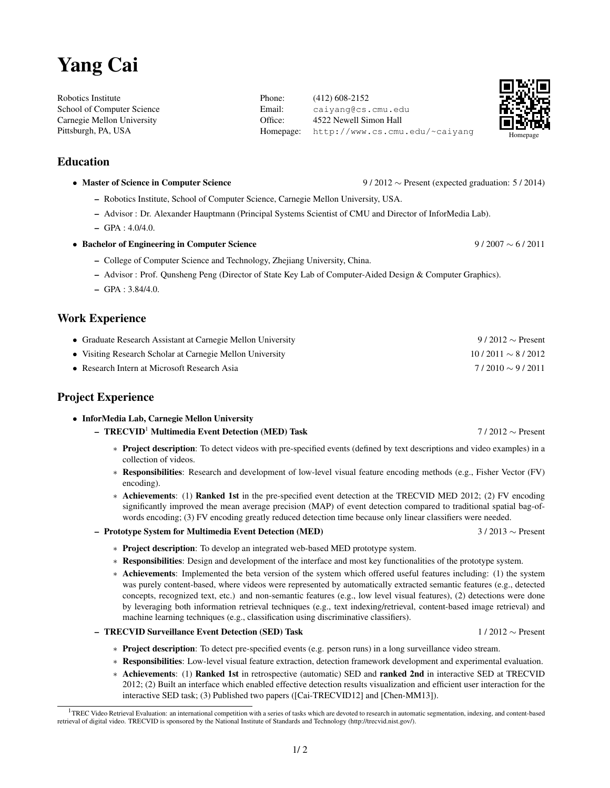# Yang Cai

Robotics Institute School of Computer Science Carnegie Mellon University Pittsburgh, PA, USA

## Education

- Master of Science in Computer Science 9 / 2012 ∼ Present (expected graduation: 5 / 2014)
	- Robotics Institute, School of Computer Science, Carnegie Mellon University, USA.
	- Advisor : Dr. Alexander Hauptmann (Principal Systems Scientist of CMU and Director of InforMedia Lab).
	- $-$  GPA : 4.0/4.0.
- Bachelor of Engineering in Computer Science 9 / 2007 ∼ 6 / 2011
	- College of Computer Science and Technology, Zhejiang University, China.
	- Advisor : Prof. Qunsheng Peng (Director of State Key Lab of Computer-Aided Design & Computer Graphics).
	- $-$  GPA : 3.84/4.0.

### Work Experience

| • Graduate Research Assistant at Carnegie Mellon University | 9/2012 $\sim$ Present |
|-------------------------------------------------------------|-----------------------|
| • Visiting Research Scholar at Carnegie Mellon University   | $10/2011 \sim 8/2012$ |
| • Research Intern at Microsoft Research Asia                | $7/2010 \sim 9/2011$  |

## Project Experience

- InforMedia Lab, Carnegie Mellon University
	- TRECVID<sup>1</sup> Multimedia Event Detection (MED) Task 7 / 2012 ∼ Present
		- ∗ Project description: To detect videos with pre-specified events (defined by text descriptions and video examples) in a collection of videos.
		- ∗ Responsibilities: Research and development of low-level visual feature encoding methods (e.g., Fisher Vector (FV) encoding).
		- ∗ Achievements: (1) Ranked 1st in the pre-specified event detection at the TRECVID MED 2012; (2) FV encoding significantly improved the mean average precision (MAP) of event detection compared to traditional spatial bag-ofwords encoding; (3) FV encoding greatly reduced detection time because only linear classifiers were needed.

#### – Prototype System for Multimedia Event Detection (MED) 3 / 2013 ∼ Present

- ∗ Project description: To develop an integrated web-based MED prototype system.
- ∗ Responsibilities: Design and development of the interface and most key functionalities of the prototype system.
- ∗ Achievements: Implemented the beta version of the system which offered useful features including: (1) the system was purely content-based, where videos were represented by automatically extracted semantic features (e.g., detected concepts, recognized text, etc.) and non-semantic features (e.g., low level visual features), (2) detections were done by leveraging both information retrieval techniques (e.g., text indexing/retrieval, content-based image retrieval) and machine learning techniques (e.g., classification using discriminative classifiers).
- TRECVID Surveillance Event Detection (SED) Task 1 / 2012 ∼ Present
	- ∗ Project description: To detect pre-specified events (e.g. person runs) in a long surveillance video stream.
	- ∗ Responsibilities: Low-level visual feature extraction, detection framework development and experimental evaluation.
	- ∗ Achievements: (1) Ranked 1st in retrospective (automatic) SED and ranked 2nd in interactive SED at TRECVID 2012; (2) Built an interface which enabled effective detection results visualization and efficient user interaction for the interactive SED task; (3) Published two papers ([Cai-TRECVID12] and [Chen-MM13]).

 $1/2$ 

Phone: (412) 608-2152 Email: caiyang@cs.cmu.edu Office: 4522 Newell Simon Hall Homepage: http://www.cs.cmu.edu/~caiyang



<sup>&</sup>lt;sup>1</sup>TREC Video Retrieval Evaluation: an international competition with a series of tasks which are devoted to research in automatic segmentation, indexing, and content-based retrieval of digital video. TRECVID is sponsored by the National Institute of Standards and Technology (http://trecvid.nist.gov/).